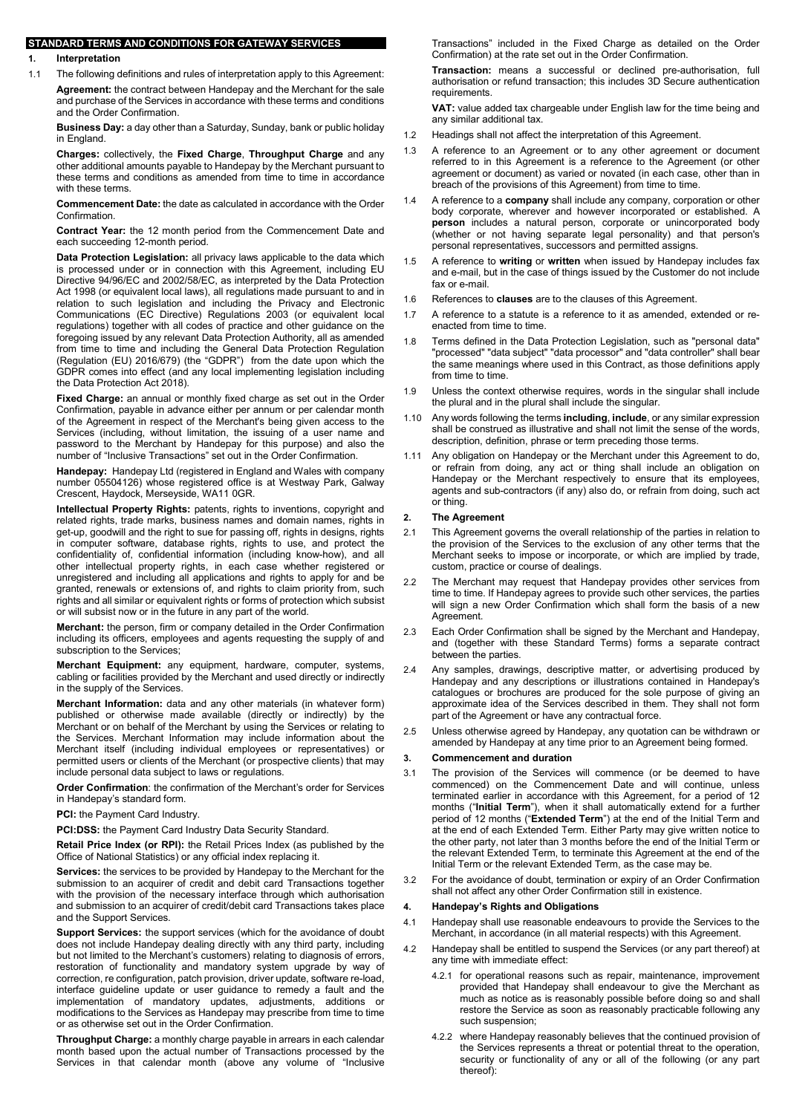#### STANDARD TERMS AND CONDITIONS FOR GATEWAY SERVICES

- 1. Interpretation
- 1.1 The following definitions and rules of interpretation apply to this Agreement:

Agreement: the contract between Handepay and the Merchant for the sale and purchase of the Services in accordance with these terms and conditions and the Order Confirmation.

Business Day: a day other than a Saturday, Sunday, bank or public holiday in England.

Charges: collectively, the Fixed Charge, Throughput Charge and any other additional amounts payable to Handepay by the Merchant pursuant to these terms and conditions as amended from time to time in accordance with these terms.

Commencement Date: the date as calculated in accordance with the Order **Confirmation** 

Contract Year: the 12 month period from the Commencement Date and each succeeding 12-month period.

Data Protection Legislation: all privacy laws applicable to the data which is processed under or in connection with this Agreement, including EU Directive 94/96/EC and 2002/58/EC, as interpreted by the Data Protection Act 1998 (or equivalent local laws), all regulations made pursuant to and in relation to such legislation and including the Privacy and Electronic Communications (EC Directive) Regulations 2003 (or equivalent local regulations) together with all codes of practice and other guidance on the foregoing issued by any relevant Data Protection Authority, all as amended from time to time and including the General Data Protection Regulation (Regulation (EU) 2016/679) (the "GDPR") from the date upon which the GDPR comes into effect (and any local implementing legislation including the Data Protection Act 2018).

Fixed Charge: an annual or monthly fixed charge as set out in the Order Confirmation, payable in advance either per annum or per calendar month of the Agreement in respect of the Merchant's being given access to the Services (including, without limitation, the issuing of a user name and password to the Merchant by Handepay for this purpose) and also the number of "Inclusive Transactions" set out in the Order Confirmation.

Handepay: Handepay Ltd (registered in England and Wales with company number 05504126) whose registered office is at Westway Park, Galway Crescent, Haydock, Merseyside, WA11 0GR.

Intellectual Property Rights: patents, rights to inventions, copyright and related rights, trade marks, business names and domain names, rights in get-up, goodwill and the right to sue for passing off, rights in designs, rights in computer software, database rights, rights to use, and protect the confidentiality of, confidential information (including know-how), and all other intellectual property rights, in each case whether registered or unregistered and including all applications and rights to apply for and be granted, renewals or extensions of, and rights to claim priority from, such rights and all similar or equivalent rights or forms of protection which subsist or will subsist now or in the future in any part of the world.

Merchant: the person, firm or company detailed in the Order Confirmation including its officers, employees and agents requesting the supply of and subscription to the Services:

Merchant Equipment: any equipment, hardware, computer, systems, cabling or facilities provided by the Merchant and used directly or indirectly in the supply of the Services.

Merchant Information: data and any other materials (in whatever form) published or otherwise made available (directly or indirectly) by the Merchant or on behalf of the Merchant by using the Services or relating to the Services. Merchant Information may include information about the Merchant itself (including individual employees or representatives) or permitted users or clients of the Merchant (or prospective clients) that may include personal data subject to laws or regulations.

Order Confirmation: the confirmation of the Merchant's order for Services in Handepay's standard form.

PCI: the Payment Card Industry.

PCI:DSS: the Payment Card Industry Data Security Standard.

Retail Price Index (or RPI): the Retail Prices Index (as published by the Office of National Statistics) or any official index replacing it.

Services: the services to be provided by Handepay to the Merchant for the submission to an acquirer of credit and debit card Transactions together with the provision of the necessary interface through which authorisation and submission to an acquirer of credit/debit card Transactions takes place and the Support Services.

Support Services: the support services (which for the avoidance of doubt does not include Handepay dealing directly with any third party, including but not limited to the Merchant's customers) relating to diagnosis of errors, restoration of functionality and mandatory system upgrade by way of correction, re configuration, patch provision, driver update, software re-load, interface guideline update or user guidance to remedy a fault and the implementation of mandatory updates, adjustments, additions or modifications to the Services as Handepay may prescribe from time to time or as otherwise set out in the Order Confirmation.

Throughput Charge: a monthly charge payable in arrears in each calendar month based upon the actual number of Transactions processed by the Services in that calendar month (above any volume of "Inclusive Transactions" included in the Fixed Charge as detailed on the Order Confirmation) at the rate set out in the Order Confirmation.

Transaction: means a successful or declined pre-authorisation, full authorisation or refund transaction; this includes 3D Secure authentication requirements.

VAT: value added tax chargeable under English law for the time being and any similar additional tax.

- 1.2 Headings shall not affect the interpretation of this Agreement.
- 1.3 A reference to an Agreement or to any other agreement or document referred to in this Agreement is a reference to the Agreement (or other agreement or document) as varied or novated (in each case, other than in breach of the provisions of this Agreement) from time to time
- A reference to a company shall include any company, corporation or other body corporate, wherever and however incorporated or established. A person includes a natural person, corporate or unincorporated body (whether or not having separate legal personality) and that person's personal representatives, successors and permitted assigns.
- 1.5 A reference to writing or written when issued by Handepay includes fax and e-mail, but in the case of things issued by the Customer do not include fax or e-mail.
- 1.6 References to clauses are to the clauses of this Agreement.
- 1.7 A reference to a statute is a reference to it as amended, extended or reenacted from time to time.
- 1.8 Terms defined in the Data Protection Legislation, such as "personal data" "processed" "data subject" "data processor" and "data controller" shall bear the same meanings where used in this Contract, as those definitions apply from time to time.
- 1.9 Unless the context otherwise requires, words in the singular shall include the plural and in the plural shall include the singular.
- 1.10 Any words following the terms including, include, or any similar expression shall be construed as illustrative and shall not limit the sense of the words, description, definition, phrase or term preceding those terms.
- 1.11 Any obligation on Handepay or the Merchant under this Agreement to do, or refrain from doing, any act or thing shall include an obligation on Handepay or the Merchant respectively to ensure that its employees, agents and sub-contractors (if any) also do, or refrain from doing, such act or thing.

## 2. The Agreement

- 2.1 This Agreement governs the overall relationship of the parties in relation to the provision of the Services to the exclusion of any other terms that the Merchant seeks to impose or incorporate, or which are implied by trade, custom, practice or course of dealings.
- 2.2 The Merchant may request that Handepay provides other services from time to time. If Handepay agrees to provide such other services, the parties will sign a new Order Confirmation which shall form the basis of a new Agreement.
- 2.3 Each Order Confirmation shall be signed by the Merchant and Handepay, and (together with these Standard Terms) forms a separate contract between the parties.
- 2.4 Any samples, drawings, descriptive matter, or advertising produced by Handepay and any descriptions or illustrations contained in Handepay's catalogues or brochures are produced for the sole purpose of giving an approximate idea of the Services described in them. They shall not form part of the Agreement or have any contractual force.
- 2.5 Unless otherwise agreed by Handepay, any quotation can be withdrawn or amended by Handepay at any time prior to an Agreement being formed.

## 3. Commencement and duration

- 3.1 The provision of the Services will commence (or be deemed to have commenced) on the Commencement Date and will continue, unless terminated earlier in accordance with this Agreement, for a period of 12 months ("Initial Term"), when it shall automatically extend for a further period of 12 months ("Extended Term") at the end of the Initial Term and at the end of each Extended Term. Either Party may give written notice to the other party, not later than 3 months before the end of the Initial Term or the relevant Extended Term, to terminate this Agreement at the end of the Initial Term or the relevant Extended Term, as the case may be.
- 3.2 For the avoidance of doubt, termination or expiry of an Order Confirmation shall not affect any other Order Confirmation still in existence.

#### 4. Handepay's Rights and Obligations

- 4.1 Handepay shall use reasonable endeavours to provide the Services to the Merchant, in accordance (in all material respects) with this Agreement.
- 4.2 Handepay shall be entitled to suspend the Services (or any part thereof) at any time with immediate effect:
	- 4.2.1 for operational reasons such as repair, maintenance, improvement provided that Handepay shall endeavour to give the Merchant as much as notice as is reasonably possible before doing so and shall restore the Service as soon as reasonably practicable following any such suspension;
	- 4.2.2 where Handepay reasonably believes that the continued provision of the Services represents a threat or potential threat to the operation, security or functionality of any or all of the following (or any part thereof):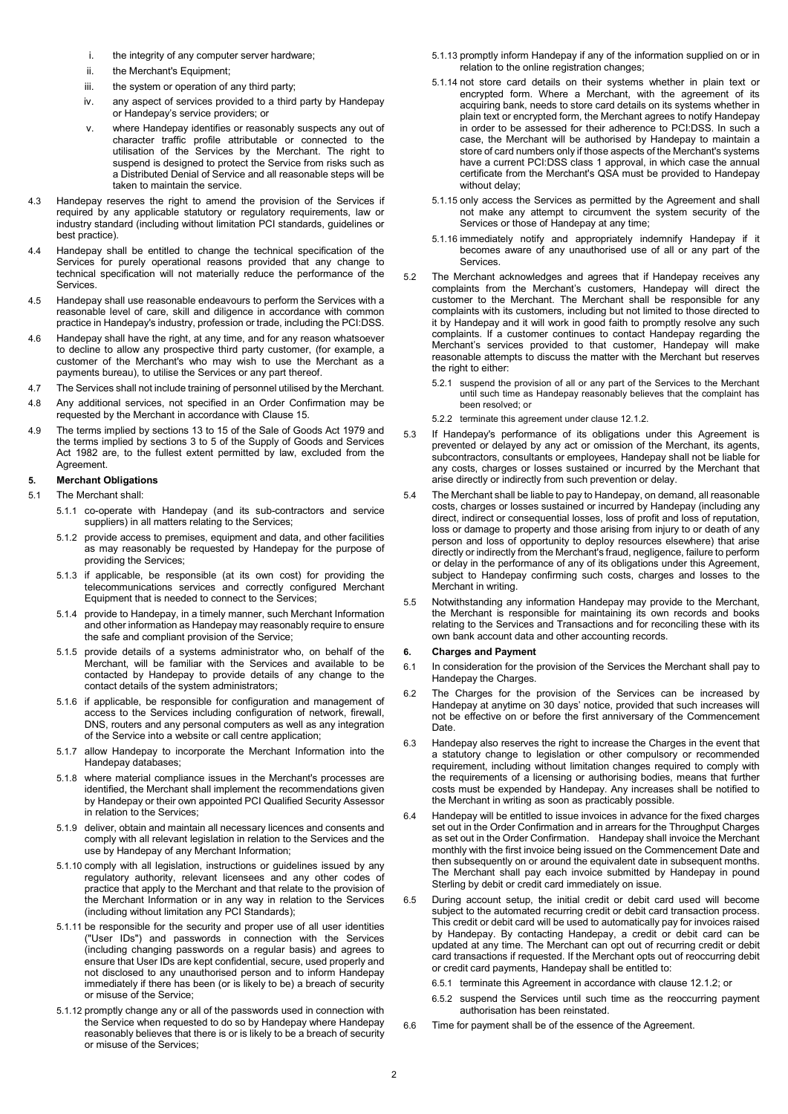- i. the integrity of any computer server hardware;
- ii. the Merchant's Equipment;
- iii. the system or operation of any third party;
- iv. any aspect of services provided to a third party by Handepay or Handepay's service providers; or
- v. where Handepay identifies or reasonably suspects any out of character traffic profile attributable or connected to the utilisation of the Services by the Merchant. The right to suspend is designed to protect the Service from risks such as a Distributed Denial of Service and all reasonable steps will be taken to maintain the service.
- 4.3 Handepay reserves the right to amend the provision of the Services if required by any applicable statutory or regulatory requirements, law or industry standard (including without limitation PCI standards, guidelines or best practice).
- 4.4 Handepay shall be entitled to change the technical specification of the Services for purely operational reasons provided that any change to technical specification will not materially reduce the performance of the Services.
- 4.5 Handepay shall use reasonable endeavours to perform the Services with a reasonable level of care, skill and diligence in accordance with common practice in Handepay's industry, profession or trade, including the PCI:DSS.
- 4.6 Handepay shall have the right, at any time, and for any reason whatsoever to decline to allow any prospective third party customer, (for example, a customer of the Merchant's who may wish to use the Merchant as a payments bureau), to utilise the Services or any part thereof.
- 4.7 The Services shall not include training of personnel utilised by the Merchant.
- 4.8 Any additional services, not specified in an Order Confirmation may be requested by the Merchant in accordance with Clause 15.
- 4.9 The terms implied by sections 13 to 15 of the Sale of Goods Act 1979 and the terms implied by sections 3 to 5 of the Supply of Goods and Services Act 1982 are, to the fullest extent permitted by law, excluded from the Agreement.

#### 5. Merchant Obligations

- 5.1 The Merchant shall:
	- 5.1.1 co-operate with Handepay (and its sub-contractors and service suppliers) in all matters relating to the Services;
	- 5.1.2 provide access to premises, equipment and data, and other facilities as may reasonably be requested by Handepay for the purpose of providing the Services;
	- 5.1.3 if applicable, be responsible (at its own cost) for providing the telecommunications services and correctly configured Merchant Equipment that is needed to connect to the Services;
	- 5.1.4 provide to Handepay, in a timely manner, such Merchant Information and other information as Handepay may reasonably require to ensure the safe and compliant provision of the Service;
	- 5.1.5 provide details of a systems administrator who, on behalf of the Merchant, will be familiar with the Services and available to be contacted by Handepay to provide details of any change to the contact details of the system administrators;
	- 5.1.6 if applicable, be responsible for configuration and management of access to the Services including configuration of network, firewall, DNS, routers and any personal computers as well as any integration of the Service into a website or call centre application;
	- 5.1.7 allow Handepay to incorporate the Merchant Information into the Handepay databases;
	- 5.1.8 where material compliance issues in the Merchant's processes are identified, the Merchant shall implement the recommendations given by Handepay or their own appointed PCI Qualified Security Assessor in relation to the Services;
	- 5.1.9 deliver, obtain and maintain all necessary licences and consents and comply with all relevant legislation in relation to the Services and the use by Handepay of any Merchant Information;
	- 5.1.10 comply with all legislation, instructions or guidelines issued by any regulatory authority, relevant licensees and any other codes of practice that apply to the Merchant and that relate to the provision of the Merchant Information or in any way in relation to the Services (including without limitation any PCI Standards);
	- 5.1.11 be responsible for the security and proper use of all user identities ("User IDs") and passwords in connection with the Services (including changing passwords on a regular basis) and agrees to ensure that User IDs are kept confidential, secure, used properly and not disclosed to any unauthorised person and to inform Handepay immediately if there has been (or is likely to be) a breach of security or misuse of the Service;
	- 5.1.12 promptly change any or all of the passwords used in connection with the Service when requested to do so by Handepay where Handepay reasonably believes that there is or is likely to be a breach of security or misuse of the Services;
- 5.1.13 promptly inform Handepay if any of the information supplied on or in relation to the online registration changes;
- 5.1.14 not store card details on their systems whether in plain text or encrypted form. Where a Merchant, with the agreement of its acquiring bank, needs to store card details on its systems whether in plain text or encrypted form, the Merchant agrees to notify Handepay in order to be assessed for their adherence to PCI:DSS. In such a case, the Merchant will be authorised by Handepay to maintain a store of card numbers only if those aspects of the Merchant's systems have a current PCI:DSS class 1 approval, in which case the annual certificate from the Merchant's QSA must be provided to Handepay without delay;
- 5.1.15 only access the Services as permitted by the Agreement and shall not make any attempt to circumvent the system security of the Services or those of Handepay at any time;
- 5.1.16 immediately notify and appropriately indemnify Handepay if it becomes aware of any unauthorised use of all or any part of the **Services**
- 5.2 The Merchant acknowledges and agrees that if Handepay receives any complaints from the Merchant's customers, Handepay will direct the customer to the Merchant. The Merchant shall be responsible for any complaints with its customers, including but not limited to those directed to it by Handepay and it will work in good faith to promptly resolve any such complaints. If a customer continues to contact Handepay regarding the Merchant's services provided to that customer, Handepay will make reasonable attempts to discuss the matter with the Merchant but reserves the right to either:
	- 5.2.1 suspend the provision of all or any part of the Services to the Merchant until such time as Handepay reasonably believes that the complaint has been resolved; or
	- 5.2.2 terminate this agreement under clause 12.1.2.
- 5.3 If Handepay's performance of its obligations under this Agreement is prevented or delayed by any act or omission of the Merchant, its agents, subcontractors, consultants or employees, Handepay shall not be liable for any costs, charges or losses sustained or incurred by the Merchant that arise directly or indirectly from such prevention or delay.
- 5.4 The Merchant shall be liable to pay to Handepay, on demand, all reasonable costs, charges or losses sustained or incurred by Handepay (including any direct, indirect or consequential losses, loss of profit and loss of reputation, loss or damage to property and those arising from injury to or death of any person and loss of opportunity to deploy resources elsewhere) that arise directly or indirectly from the Merchant's fraud, negligence, failure to perform or delay in the performance of any of its obligations under this Agreement, subject to Handepay confirming such costs, charges and losses to the Merchant in writing.
- 5.5 Notwithstanding any information Handepay may provide to the Merchant, the Merchant is responsible for maintaining its own records and books relating to the Services and Transactions and for reconciling these with its own bank account data and other accounting records.

## 6. Charges and Payment

- 6.1 In consideration for the provision of the Services the Merchant shall pay to Handepay the Charges.
- 6.2 The Charges for the provision of the Services can be increased by Handepay at anytime on 30 days' notice, provided that such increases will not be effective on or before the first anniversary of the Commencement Date.
- 6.3 Handepay also reserves the right to increase the Charges in the event that a statutory change to legislation or other compulsory or recommended requirement, including without limitation changes required to comply with the requirements of a licensing or authorising bodies, means that further costs must be expended by Handepay. Any increases shall be notified to the Merchant in writing as soon as practicably possible.
- 6.4 Handepay will be entitled to issue invoices in advance for the fixed charges set out in the Order Confirmation and in arrears for the Throughput Charges as set out in the Order Confirmation. Handepay shall invoice the Merchant monthly with the first invoice being issued on the Commencement Date and then subsequently on or around the equivalent date in subsequent months. The Merchant shall pay each invoice submitted by Handepay in pound Sterling by debit or credit card immediately on issue.
- 6.5 During account setup, the initial credit or debit card used will become subject to the automated recurring credit or debit card transaction process. This credit or debit card will be used to automatically pay for invoices raised by Handepay. By contacting Handepay, a credit or debit card can be updated at any time. The Merchant can opt out of recurring credit or debit card transactions if requested. If the Merchant opts out of reoccurring debit or credit card payments, Handepay shall be entitled to:
	- 6.5.1 terminate this Agreement in accordance with clause 12.1.2; or
	- 6.5.2 suspend the Services until such time as the reoccurring payment authorisation has been reinstated.
- 6.6 Time for payment shall be of the essence of the Agreement.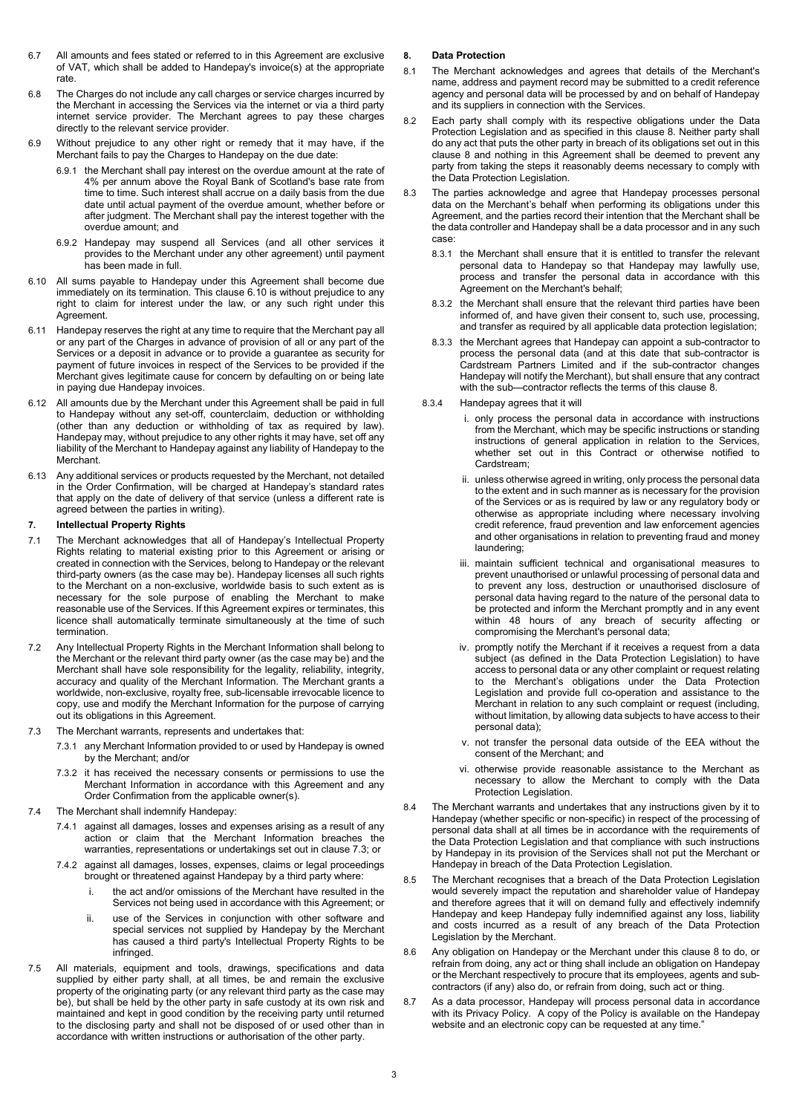- 6.7 All amounts and fees stated or referred to in this Agreement are exclusive of VAT, which shall be added to Handepay's invoice(s) at the appropriate rate.
- 6.8 The Charges do not include any call charges or service charges incurred by the Merchant in accessing the Services via the internet or via a third party internet service provider. The Merchant agrees to pay these charges directly to the relevant service provider.
- 6.9 Without prejudice to any other right or remedy that it may have, if the Merchant fails to pay the Charges to Handepay on the due date:
	- 6.9.1 the Merchant shall pay interest on the overdue amount at the rate of 4% per annum above the Royal Bank of Scotland's base rate from time to time. Such interest shall accrue on a daily basis from the due date until actual payment of the overdue amount, whether before or after judgment. The Merchant shall pay the interest together with the overdue amount; and
	- 6.9.2 Handepay may suspend all Services (and all other services it provides to the Merchant under any other agreement) until payment has been made in full.
- 6.10 All sums payable to Handepay under this Agreement shall become due immediately on its termination. This clause 6.10 is without prejudice to any right to claim for interest under the law, or any such right under this Agreement.
- 6.11 Handepay reserves the right at any time to require that the Merchant pay all or any part of the Charges in advance of provision of all or any part of the Services or a deposit in advance or to provide a guarantee as security for payment of future invoices in respect of the Services to be provided if the Merchant gives legitimate cause for concern by defaulting on or being late in paying due Handepay invoices.
- 6.12 All amounts due by the Merchant under this Agreement shall be paid in full to Handepay without any set-off, counterclaim, deduction or withholding (other than any deduction or withholding of tax as required by law). Handepay may, without prejudice to any other rights it may have, set off any liability of the Merchant to Handepay against any liability of Handepay to the **Merchant**
- 6.13 Any additional services or products requested by the Merchant, not detailed in the Order Confirmation, will be charged at Handepay's standard rates that apply on the date of delivery of that service (unless a different rate is agreed between the parties in writing).

## 7. Intellectual Property Rights

- 7.1 The Merchant acknowledges that all of Handepay's Intellectual Property Rights relating to material existing prior to this Agreement or arising or created in connection with the Services, belong to Handepay or the relevant third-party owners (as the case may be). Handepay licenses all such rights to the Merchant on a non-exclusive, worldwide basis to such extent as is necessary for the sole purpose of enabling the Merchant to make reasonable use of the Services. If this Agreement expires or terminates, this licence shall automatically terminate simultaneously at the time of such termination.
- 7.2 Any Intellectual Property Rights in the Merchant Information shall belong to the Merchant or the relevant third party owner (as the case may be) and the Merchant shall have sole responsibility for the legality, reliability, integrity, accuracy and quality of the Merchant Information. The Merchant grants a worldwide, non-exclusive, royalty free, sub-licensable irrevocable licence to copy, use and modify the Merchant Information for the purpose of carrying out its obligations in this Agreement.
- 7.3 The Merchant warrants, represents and undertakes that:
	- 7.3.1 any Merchant Information provided to or used by Handepay is owned by the Merchant; and/or
	- 7.3.2 it has received the necessary consents or permissions to use the Merchant Information in accordance with this Agreement and any Order Confirmation from the applicable owner(s).
- 7.4 The Merchant shall indemnify Handepay:
	- 7.4.1 against all damages, losses and expenses arising as a result of any action or claim that the Merchant Information breaches the warranties, representations or undertakings set out in clause 7.3; or
	- 7.4.2 against all damages, losses, expenses, claims or legal proceedings brought or threatened against Handepay by a third party where:
		- i. the act and/or omissions of the Merchant have resulted in the Services not being used in accordance with this Agreement; or
		- ii. use of the Services in conjunction with other software and special services not supplied by Handepay by the Merchant has caused a third party's Intellectual Property Rights to be infringed.
- 7.5 All materials, equipment and tools, drawings, specifications and data supplied by either party shall, at all times, be and remain the exclusive property of the originating party (or any relevant third party as the case may be), but shall be held by the other party in safe custody at its own risk and maintained and kept in good condition by the receiving party until returned to the disclosing party and shall not be disposed of or used other than in accordance with written instructions or authorisation of the other party.

## 8. Data Protection

- 8.1 The Merchant acknowledges and agrees that details of the Merchant's name, address and payment record may be submitted to a credit reference agency and personal data will be processed by and on behalf of Handepay and its suppliers in connection with the Services.
- 8.2 Each party shall comply with its respective obligations under the Data Protection Legislation and as specified in this clause 8. Neither party shall do any act that puts the other party in breach of its obligations set out in this clause 8 and nothing in this Agreement shall be deemed to prevent any party from taking the steps it reasonably deems necessary to comply with the Data Protection Legislation.
- 8.3 The parties acknowledge and agree that Handepay processes personal data on the Merchant's behalf when performing its obligations under this Agreement, and the parties record their intention that the Merchant shall be the data controller and Handepay shall be a data processor and in any such case:
	- 8.3.1 the Merchant shall ensure that it is entitled to transfer the relevant personal data to Handepay so that Handepay may lawfully use, process and transfer the personal data in accordance with this Agreement on the Merchant's behalf;
	- 8.3.2 the Merchant shall ensure that the relevant third parties have been informed of, and have given their consent to, such use, processing, and transfer as required by all applicable data protection legislation;
	- 8.3.3 the Merchant agrees that Handepay can appoint a sub-contractor to process the personal data (and at this date that sub-contractor is Cardstream Partners Limited and if the sub-contractor changes Handepay will notify the Merchant), but shall ensure that any contract with the sub—contractor reflects the terms of this clause 8.
	- 8.3.4 Handepay agrees that it will
		- i. only process the personal data in accordance with instructions from the Merchant, which may be specific instructions or standing instructions of general application in relation to the Services, whether set out in this Contract or otherwise notified to Cardstream;
		- ii. unless otherwise agreed in writing, only process the personal data to the extent and in such manner as is necessary for the provision of the Services or as is required by law or any regulatory body or otherwise as appropriate including where necessary involving credit reference, fraud prevention and law enforcement agencies and other organisations in relation to preventing fraud and money laundering;
		- iii. maintain sufficient technical and organisational measures to prevent unauthorised or unlawful processing of personal data and to prevent any loss, destruction or unauthorised disclosure of personal data having regard to the nature of the personal data to be protected and inform the Merchant promptly and in any event within 48 hours of any breach of security affecting or compromising the Merchant's personal data;
		- iv. promptly notify the Merchant if it receives a request from a data subject (as defined in the Data Protection Legislation) to have access to personal data or any other complaint or request relating to the Merchant's obligations under the Data Protection Legislation and provide full co-operation and assistance to the Merchant in relation to any such complaint or request (including, without limitation, by allowing data subjects to have access to their personal data);
		- v. not transfer the personal data outside of the EEA without the consent of the Merchant; and
		- vi. otherwise provide reasonable assistance to the Merchant as necessary to allow the Merchant to comply with the Data Protection Legislation.
- 8.4 The Merchant warrants and undertakes that any instructions given by it to Handepay (whether specific or non-specific) in respect of the processing of personal data shall at all times be in accordance with the requirements of the Data Protection Legislation and that compliance with such instructions by Handepay in its provision of the Services shall not put the Merchant or Handepay in breach of the Data Protection Legislation.
- 8.5 The Merchant recognises that a breach of the Data Protection Legislation would severely impact the reputation and shareholder value of Handepay and therefore agrees that it will on demand fully and effectively indemnify Handepay and keep Handepay fully indemnified against any loss, liability and costs incurred as a result of any breach of the Data Protection Legislation by the Merchant.
- 8.6 Any obligation on Handepay or the Merchant under this clause 8 to do, or refrain from doing, any act or thing shall include an obligation on Handepay or the Merchant respectively to procure that its employees, agents and subcontractors (if any) also do, or refrain from doing, such act or thing.
- As a data processor, Handepay will process personal data in accordance with its Privacy Policy. A copy of the Policy is available on the Handepay website and an electronic copy can be requested at any time.'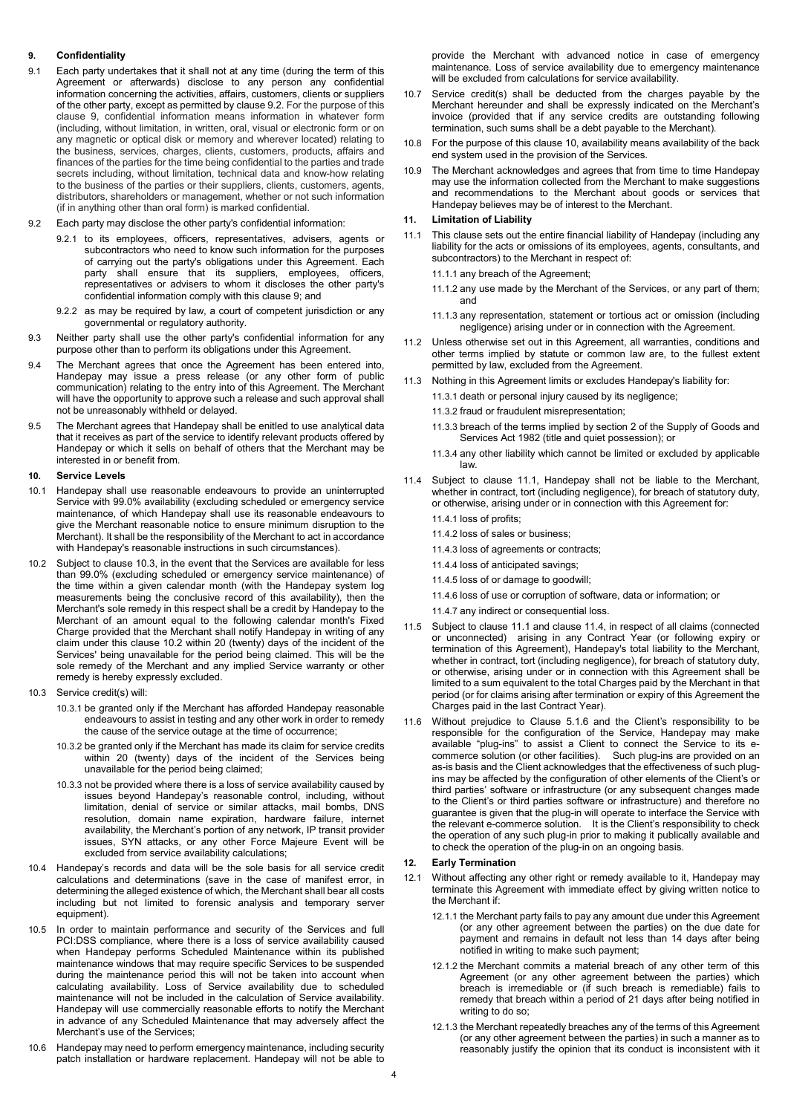## 9. Confidentiality

- 9.1 Each party undertakes that it shall not at any time (during the term of this Agreement or afterwards) disclose to any person any confidential information concerning the activities, affairs, customers, clients or suppliers of the other party, except as permitted by clause 9.2. For the purpose of this clause 9, confidential information means information in whatever form (including, without limitation, in written, oral, visual or electronic form or on any magnetic or optical disk or memory and wherever located) relating to the business, services, charges, clients, customers, products, affairs and finances of the parties for the time being confidential to the parties and trade secrets including, without limitation, technical data and know-how relating to the business of the parties or their suppliers, clients, customers, agents, distributors, shareholders or management, whether or not such information (if in anything other than oral form) is marked confidential.
- 9.2 Each party may disclose the other party's confidential information:
	- 9.2.1 to its employees, officers, representatives, advisers, agents or subcontractors who need to know such information for the purposes of carrying out the party's obligations under this Agreement. Each party shall ensure that its suppliers, employees, officers, representatives or advisers to whom it discloses the other party's confidential information comply with this clause 9; and
	- 9.2.2 as may be required by law, a court of competent jurisdiction or any governmental or regulatory authority.
- 9.3 Neither party shall use the other party's confidential information for any purpose other than to perform its obligations under this Agreement.
- 9.4 The Merchant agrees that once the Agreement has been entered into, Handepay may issue a press release (or any other form of public communication) relating to the entry into of this Agreement. The Merchant will have the opportunity to approve such a release and such approval shall not be unreasonably withheld or delayed.
- 9.5 The Merchant agrees that Handepay shall be enitled to use analytical data that it receives as part of the service to identify relevant products offered by Handepay or which it sells on behalf of others that the Merchant may be interested in or benefit from.

#### 10. Service Levels

- 10.1 Handepay shall use reasonable endeavours to provide an uninterrupted Service with 99.0% availability (excluding scheduled or emergency service maintenance, of which Handepay shall use its reasonable endeavours to give the Merchant reasonable notice to ensure minimum disruption to the Merchant). It shall be the responsibility of the Merchant to act in accordance with Handepay's reasonable instructions in such circumstances).
- 10.2 Subject to clause 10.3, in the event that the Services are available for less than 99.0% (excluding scheduled or emergency service maintenance) of the time within a given calendar month (with the Handepay system log measurements being the conclusive record of this availability), then the Merchant's sole remedy in this respect shall be a credit by Handepay to the Merchant of an amount equal to the following calendar month's Fixed Charge provided that the Merchant shall notify Handepay in writing of any claim under this clause 10.2 within 20 (twenty) days of the incident of the Services' being unavailable for the period being claimed. This will be the sole remedy of the Merchant and any implied Service warranty or other remedy is hereby expressly excluded.
- 10.3 Service credit(s) will:
	- 10.3.1 be granted only if the Merchant has afforded Handepay reasonable endeavours to assist in testing and any other work in order to remedy the cause of the service outage at the time of occurrence;
	- 10.3.2 be granted only if the Merchant has made its claim for service credits within 20 (twenty) days of the incident of the Services being unavailable for the period being claimed;
	- 10.3.3 not be provided where there is a loss of service availability caused by issues beyond Handepay's reasonable control, including, without limitation, denial of service or similar attacks, mail bombs, DNS resolution, domain name expiration, hardware failure, internet availability, the Merchant's portion of any network, IP transit provider issues, SYN attacks, or any other Force Majeure Event will be excluded from service availability calculations;
- 10.4 Handepay's records and data will be the sole basis for all service credit calculations and determinations (save in the case of manifest error, in determining the alleged existence of which, the Merchant shall bear all costs including but not limited to forensic analysis and temporary server equipment).
- 10.5 In order to maintain performance and security of the Services and full PCI:DSS compliance, where there is a loss of service availability caused when Handepay performs Scheduled Maintenance within its published maintenance windows that may require specific Services to be suspended during the maintenance period this will not be taken into account when calculating availability. Loss of Service availability due to scheduled maintenance will not be included in the calculation of Service availability. Handepay will use commercially reasonable efforts to notify the Merchant in advance of any Scheduled Maintenance that may adversely affect the Merchant's use of the Services;
- 10.6 Handepay may need to perform emergency maintenance, including security patch installation or hardware replacement. Handepay will not be able to

provide the Merchant with advanced notice in case of emergency maintenance. Loss of service availability due to emergency maintenance will be excluded from calculations for service availability.

- 10.7 Service credit(s) shall be deducted from the charges payable by the Merchant hereunder and shall be expressly indicated on the Merchant's invoice (provided that if any service credits are outstanding following termination, such sums shall be a debt payable to the Merchant).
- 10.8 For the purpose of this clause 10, availability means availability of the back end system used in the provision of the Services.
- 10.9 The Merchant acknowledges and agrees that from time to time Handepay may use the information collected from the Merchant to make suggestions and recommendations to the Merchant about goods or services that Handepay believes may be of interest to the Merchant.

### 11. Limitation of Liability

- 11.1 This clause sets out the entire financial liability of Handepay (including any liability for the acts or omissions of its employees, agents, consultants, and subcontractors) to the Merchant in respect of:
	- 11.1.1 any breach of the Agreement;
	- 11.1.2 any use made by the Merchant of the Services, or any part of them; and
	- 11.1.3 any representation, statement or tortious act or omission (including negligence) arising under or in connection with the Agreement.
- 11.2 Unless otherwise set out in this Agreement, all warranties, conditions and other terms implied by statute or common law are, to the fullest extent permitted by law, excluded from the Agreement.
- 11.3 Nothing in this Agreement limits or excludes Handepay's liability for:
	- 11.3.1 death or personal injury caused by its negligence;
	- 11.3.2 fraud or fraudulent misrepresentation;
	- 11.3.3 breach of the terms implied by section 2 of the Supply of Goods and Services Act 1982 (title and quiet possession); or
	- 11.3.4 any other liability which cannot be limited or excluded by applicable law.
- 11.4 Subject to clause 11.1, Handepay shall not be liable to the Merchant, whether in contract, tort (including negligence), for breach of statutory duty, or otherwise, arising under or in connection with this Agreement for:
	- 11.4.1 loss of profits;
	- 11.4.2 loss of sales or business;
	- 11.4.3 loss of agreements or contracts;
	- 11.4.4 loss of anticipated savings;
	- 11.4.5 loss of or damage to goodwill;
	- 11.4.6 loss of use or corruption of software, data or information; or
	- 11.4.7 any indirect or consequential loss.
- 11.5 Subject to clause 11.1 and clause 11.4, in respect of all claims (connected or unconnected) arising in any Contract Year (or following expiry or termination of this Agreement), Handepay's total liability to the Merchant, whether in contract, tort (including negligence), for breach of statutory duty, or otherwise, arising under or in connection with this Agreement shall be limited to a sum equivalent to the total Charges paid by the Merchant in that period (or for claims arising after termination or expiry of this Agreement the Charges paid in the last Contract Year).
- 11.6 Without prejudice to Clause 5.1.6 and the Client's responsibility to be responsible for the configuration of the Service, Handepay may make available "plug-ins" to assist a Client to connect the Service to its ecommerce solution (or other facilities). Such plug-ins are provided on an as-is basis and the Client acknowledges that the effectiveness of such plugins may be affected by the configuration of other elements of the Client's or third parties' software or infrastructure (or any subsequent changes made to the Client's or third parties software or infrastructure) and therefore no guarantee is given that the plug-in will operate to interface the Service with the relevant e-commerce solution. It is the Client's responsibility to check the operation of any such plug-in prior to making it publically available and to check the operation of the plug-in on an ongoing basis.

## 12. Early Termination

- 12.1 Without affecting any other right or remedy available to it, Handepay may terminate this Agreement with immediate effect by giving written notice to the Merchant if:
	- 12.1.1 the Merchant party fails to pay any amount due under this Agreement (or any other agreement between the parties) on the due date for payment and remains in default not less than 14 days after being pay...<br>notified in writing to make such payment;
	- 12.1.2 the Merchant commits a material breach of any other term of this Agreement (or any other agreement between the parties) which breach is irremediable or (if such breach is remediable) fails to remedy that breach within a period of 21 days after being notified in writing to do so;
	- 12.1.3 the Merchant repeatedly breaches any of the terms of this Agreement (or any other agreement between the parties) in such a manner as to reasonably justify the opinion that its conduct is inconsistent with it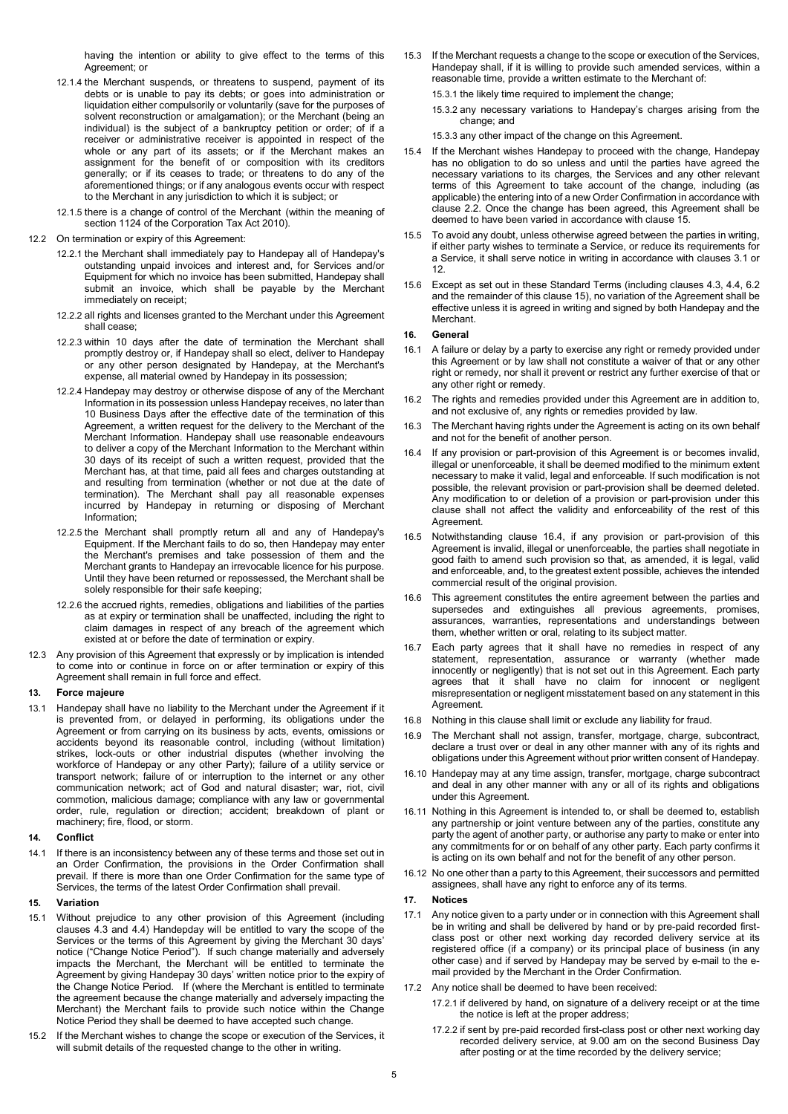having the intention or ability to give effect to the terms of this Agreement; or

- 12.1.4 the Merchant suspends, or threatens to suspend, payment of its debts or is unable to pay its debts; or goes into administration or liquidation either compulsorily or voluntarily (save for the purposes of solvent reconstruction or amalgamation); or the Merchant (being an individual) is the subject of a bankruptcy petition or order; of if a receiver or administrative receiver is appointed in respect of the whole or any part of its assets; or if the Merchant makes an assignment for the benefit of or composition with its creditors generally; or if its ceases to trade; or threatens to do any of the aforementioned things; or if any analogous events occur with respect to the Merchant in any jurisdiction to which it is subject; or
- 12.1.5 there is a change of control of the Merchant (within the meaning of section 1124 of the Corporation Tax Act 2010).
- 12.2 On termination or expiry of this Agreement:
	- 12.2.1 the Merchant shall immediately pay to Handepay all of Handepay's outstanding unpaid invoices and interest and, for Services and/or Equipment for which no invoice has been submitted, Handepay shall submit an invoice, which shall be payable by the Merchant immediately on receipt;
	- 12.2.2 all rights and licenses granted to the Merchant under this Agreement shall cease;
	- 12.2.3 within 10 days after the date of termination the Merchant shall promptly destroy or, if Handepay shall so elect, deliver to Handepay or any other person designated by Handepay, at the Merchant's expense, all material owned by Handepay in its possession;
	- 12.2.4 Handepay may destroy or otherwise dispose of any of the Merchant Information in its possession unless Handepay receives, no later than 10 Business Days after the effective date of the termination of this Agreement, a written request for the delivery to the Merchant of the Merchant Information. Handepay shall use reasonable endeavours to deliver a copy of the Merchant Information to the Merchant within 30 days of its receipt of such a written request, provided that the Merchant has, at that time, paid all fees and charges outstanding at and resulting from termination (whether or not due at the date of termination). The Merchant shall pay all reasonable expenses incurred by Handepay in returning or disposing of Merchant Information;
	- 12.2.5 the Merchant shall promptly return all and any of Handepay's Equipment. If the Merchant fails to do so, then Handepay may enter the Merchant's premises and take possession of them and the Merchant grants to Handepay an irrevocable licence for his purpose. Until they have been returned or repossessed, the Merchant shall be solely responsible for their safe keeping;
	- 12.2.6 the accrued rights, remedies, obligations and liabilities of the parties as at expiry or termination shall be unaffected, including the right to claim damages in respect of any breach of the agreement which existed at or before the date of termination or expiry.
- 12.3 Any provision of this Agreement that expressly or by implication is intended to come into or continue in force on or after termination or expiry of this Agreement shall remain in full force and effect.

#### 13. Force majeure

13.1 Handepay shall have no liability to the Merchant under the Agreement if it is prevented from, or delayed in performing, its obligations under the Agreement or from carrying on its business by acts, events, omissions or accidents beyond its reasonable control, including (without limitation) strikes, lock-outs or other industrial disputes (whether involving the workforce of Handepay or any other Party); failure of a utility service or transport network; failure of or interruption to the internet or any other communication network; act of God and natural disaster; war, riot, civil commotion, malicious damage; compliance with any law or governmental order, rule, regulation or direction; accident; breakdown of plant or machinery; fire, flood, or storm.

## 14. Conflict

14.1 If there is an inconsistency between any of these terms and those set out in an Order Confirmation, the provisions in the Order Confirmation shall prevail. If there is more than one Order Confirmation for the same type of Services, the terms of the latest Order Confirmation shall prevail.

#### 15. Variation

- 15.1 Without prejudice to any other provision of this Agreement (including clauses 4.3 and 4.4) Handepday will be entitled to vary the scope of the Services or the terms of this Agreement by giving the Merchant 30 days' notice ("Change Notice Period"). If such change materially and adversely impacts the Merchant, the Merchant will be entitled to terminate the Agreement by giving Handepay 30 days' written notice prior to the expiry of the Change Notice Period. If (where the Merchant is entitled to terminate the agreement because the change materially and adversely impacting the Merchant) the Merchant fails to provide such notice within the Change Notice Period they shall be deemed to have accepted such change.
- 15.2 If the Merchant wishes to change the scope or execution of the Services, it will submit details of the requested change to the other in writing.
- 15.3 If the Merchant requests a change to the scope or execution of the Services, Handepay shall, if it is willing to provide such amended services, within a reasonable time, provide a written estimate to the Merchant of:
	- 15.3.1 the likely time required to implement the change;
	- 15.3.2 any necessary variations to Handepay's charges arising from the change; and
	- 15.3.3 any other impact of the change on this Agreement.
- 15.4 If the Merchant wishes Handepay to proceed with the change, Handepay has no obligation to do so unless and until the parties have agreed the necessary variations to its charges, the Services and any other relevant terms of this Agreement to take account of the change, including (as applicable) the entering into of a new Order Confirmation in accordance with clause 2.2. Once the change has been agreed, this Agreement shall be deemed to have been varied in accordance with clause 15.
- 15.5 To avoid any doubt, unless otherwise agreed between the parties in writing, if either party wishes to terminate a Service, or reduce its requirements for a Service, it shall serve notice in writing in accordance with clauses 3.1 or 12.
- 15.6 Except as set out in these Standard Terms (including clauses 4.3, 4.4, 6.2 and the remainder of this clause 15), no variation of the Agreement shall be effective unless it is agreed in writing and signed by both Handepay and the Merchant.

#### 16. General

- 16.1 A failure or delay by a party to exercise any right or remedy provided under this Agreement or by law shall not constitute a waiver of that or any other right or remedy, nor shall it prevent or restrict any further exercise of that or any other right or remedy.
- 16.2 The rights and remedies provided under this Agreement are in addition to, and not exclusive of, any rights or remedies provided by law.
- 16.3 The Merchant having rights under the Agreement is acting on its own behalf and not for the benefit of another person.
- If any provision or part-provision of this Agreement is or becomes invalid, illegal or unenforceable, it shall be deemed modified to the minimum extent necessary to make it valid, legal and enforceable. If such modification is not possible, the relevant provision or part-provision shall be deemed deleted. Any modification to or deletion of a provision or part-provision under this clause shall not affect the validity and enforceability of the rest of this **Agreement**
- 16.5 Notwithstanding clause 16.4, if any provision or part-provision of this Agreement is invalid, illegal or unenforceable, the parties shall negotiate in good faith to amend such provision so that, as amended, it is legal, valid and enforceable, and, to the greatest extent possible, achieves the intended commercial result of the original provision.
- 16.6 This agreement constitutes the entire agreement between the parties and supersedes and extinguishes all previous agreements, promises, assurances, warranties, representations and understandings between them, whether written or oral, relating to its subject matter.
- 16.7 Each party agrees that it shall have no remedies in respect of any statement, representation, assurance or warranty (whether made innocently or negligently) that is not set out in this Agreement. Each party agrees that it shall have no claim for innocent or negligent misrepresentation or negligent misstatement based on any statement in this Agreement.
- 16.8 Nothing in this clause shall limit or exclude any liability for fraud.
- 16.9 The Merchant shall not assign, transfer, mortgage, charge, subcontract, declare a trust over or deal in any other manner with any of its rights and obligations under this Agreement without prior written consent of Handepay.
- 16.10 Handepay may at any time assign, transfer, mortgage, charge subcontract and deal in any other manner with any or all of its rights and obligations under this Agreement.
- 16.11 Nothing in this Agreement is intended to, or shall be deemed to, establish any partnership or joint venture between any of the parties, constitute any party the agent of another party, or authorise any party to make or enter into any commitments for or on behalf of any other party. Each party confirms it is acting on its own behalf and not for the benefit of any other person.
- 16.12 No one other than a party to this Agreement, their successors and permitted assignees, shall have any right to enforce any of its terms.

#### 17. Notices

- 17.1 Any notice given to a party under or in connection with this Agreement shall be in writing and shall be delivered by hand or by pre-paid recorded firstclass post or other next working day recorded delivery service at its registered office (if a company) or its principal place of business (in any other case) and if served by Handepay may be served by e-mail to the email provided by the Merchant in the Order Confirmation.
- 17.2 Any notice shall be deemed to have been received:
	- 17.2.1 if delivered by hand, on signature of a delivery receipt or at the time the notice is left at the proper address;
	- 17.2.2 if sent by pre-paid recorded first-class post or other next working day recorded delivery service, at 9.00 am on the second Business Day after posting or at the time recorded by the delivery service;